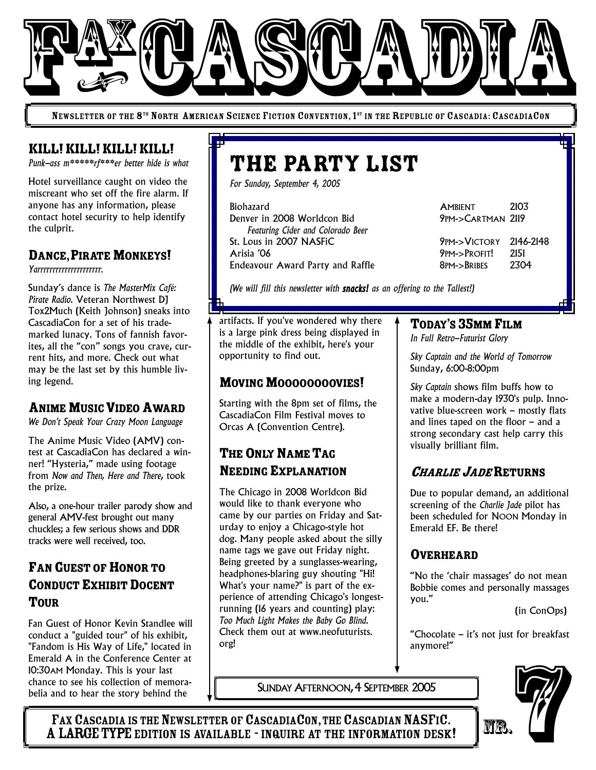

NEWSLETTER OF THE 8<sup>th</sup> North American Science Fiction Convention, 1<sup>st</sup> in the Republic of Cascadia: CascadiaCon

#### KILL!KILL!KILL!KILL!

*Punk-ass m\*\*\*\*\*rf\*\*\*er better hide is what*

Hotel surveillance caught on video the miscreant who set off the fire alarm. If anyone has any information, please contact hotel security to help identify the culprit.

#### DANCE, PIRATE MONKEYS!

*Yarrrrrrrrrrrrrrrrrrrrr.*

Sunday's dance is *The MasterMix Café: Pirate Radio*. Veteran Northwest DJ Tox2Much (Keith Johnson) sneaks into CascadiaCon for a set of his trademarked lunacy. Tons of fannish favorites, all the "con" songs you crave, current hits, and more. Check out what may be the last set by this humble living legend.

#### **ANIME MUSIC VIDEO AWARD**

*We Don't Speak Your Crazy Moon Language*

The Anime Music Video (AMV) contest at CascadiaCon has declared a winner! "Hysteria," made using footage from *Now and Then, Here and There*, took the prize.

Also, a one-hour trailer parody show and general AMV-fest brought out many chuckles; a few serious shows and DDR tracks were well received, too.

## FAN GUEST OF HONOR TO CONDUCT EXHIBIT DOCENT TOUR

Fan Guest of Honor Kevin Standlee will conduct a "guided tour" of his exhibit, "Fandom is His Way of Life," located in Emerald A in the Conference Center at 10:30AM Monday. This is your last chance to see his collection of memorabelia and to hear the story behind the

# THE PARTY LIST

*For Sunday, September 4, 2005*

Biohazard AMBIENT 2103 Denver in 2008 Worldcon Bid 9PM->CARTMAN 2119 *Featuring Cider and Colorado Beer* St. Lous in 2007 NASFiC 9PM->VICTORY 2146-2148 Endeavour Award Party and Raffle 8PM->BRIBES 2304

**9PM->PROFIT!** 

*(We will fill this newsletter with snacks! as an offering to the Tallest!)*

artifacts. If you've wondered why there is a large pink dress being displayed in the middle of the exhibit, here's your opportunity to find out.

#### MOVING MOOOOOOOOVIES!

Starting with the 8pm set of films, the CascadiaCon Film Festival moves to Orcas A (Convention Centre).

# THE ONLY NAME TAG NEEDING EXPLANATION

The Chicago in 2008 Worldcon Bid would like to thank everyone who came by our parties on Friday and Saturday to enjoy a Chicago-style hot dog. Many people asked about the silly name tags we gave out Friday night. Being greeted by a sunglasses-wearing, headphones-blaring guy shouting "Hi! What's your name?" is part of the experience of attending Chicago's longestrunning (16 years and counting) play: *Too Much Light Makes the Baby Go Blind*. Check them out at www.neofuturists. org!

SUNDAY AFTERNOON, 4 SEPTEMBER 2005

#### TODAY'S 35MM FILM

*In Full Retro-Futurist Glory*

*Sky Captain and the World of Tomorrow* Sunday, 6:00-8:00pm

*Sky Captain* shows film buffs how to make a modern-day 1930's pulp. Innovative blue-screen work – mostly flats and lines taped on the floor – and a strong secondary cast help carry this visually brilliant film.

# <sup>C</sup>HARLIE <sup>J</sup>ADERETURNS

Due to popular demand, an additional screening of the *Charlie Jade* pilot has been scheduled for NOON Monday in Emerald EF. Be there!

#### OVERHEARD

"No the 'chair massages' do not mean Bobbie comes and personally massages you."

(in ConOps)

"Chocolate – it's not just for breakfast anymore!"



FAX CASCADIA IS THE NEWSLETTER OF CASCADIACON, THE CASCADIAN NASFIC. A LARGE TYPE EDITION IS AVAILABLE - INQUIRE AT THE INFORMATION DESK!